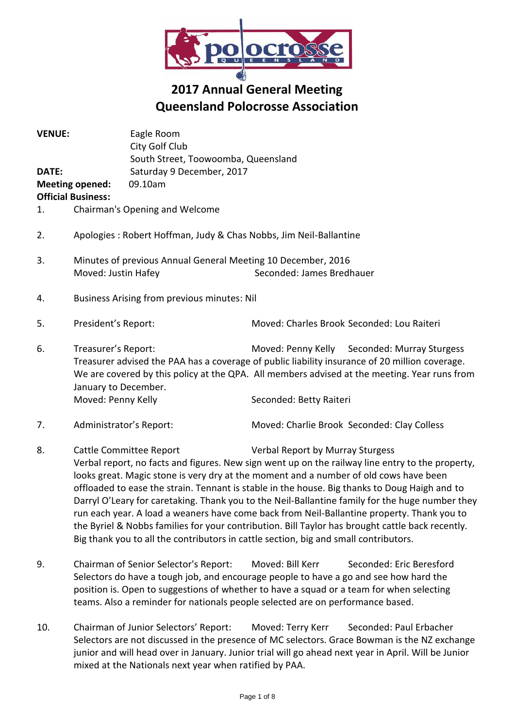

# **2017 Annual General Meeting Queensland Polocrosse Association**

| <b>VENUE:</b><br>DATE:<br>1. | <b>Meeting opened:</b><br><b>Official Business:</b>                                                                                                                                                                                                                                                                                            | Eagle Room<br>City Golf Club<br>South Street, Toowoomba, Queensland<br>Saturday 9 December, 2017<br>09.10am<br>Chairman's Opening and Welcome |                                                                                                                                                                                                                               |  |  |
|------------------------------|------------------------------------------------------------------------------------------------------------------------------------------------------------------------------------------------------------------------------------------------------------------------------------------------------------------------------------------------|-----------------------------------------------------------------------------------------------------------------------------------------------|-------------------------------------------------------------------------------------------------------------------------------------------------------------------------------------------------------------------------------|--|--|
|                              |                                                                                                                                                                                                                                                                                                                                                |                                                                                                                                               |                                                                                                                                                                                                                               |  |  |
| 2.                           | Apologies: Robert Hoffman, Judy & Chas Nobbs, Jim Neil-Ballantine                                                                                                                                                                                                                                                                              |                                                                                                                                               |                                                                                                                                                                                                                               |  |  |
| 3.                           | Minutes of previous Annual General Meeting 10 December, 2016<br>Seconded: James Bredhauer<br>Moved: Justin Hafey                                                                                                                                                                                                                               |                                                                                                                                               |                                                                                                                                                                                                                               |  |  |
| 4.                           | Business Arising from previous minutes: Nil                                                                                                                                                                                                                                                                                                    |                                                                                                                                               |                                                                                                                                                                                                                               |  |  |
| 5.                           | President's Report:                                                                                                                                                                                                                                                                                                                            |                                                                                                                                               | Moved: Charles Brook Seconded: Lou Raiteri                                                                                                                                                                                    |  |  |
| 6.                           | Treasurer's Report:<br>Moved: Penny Kelly Seconded: Murray Sturgess<br>Treasurer advised the PAA has a coverage of public liability insurance of 20 million coverage.<br>We are covered by this policy at the QPA. All members advised at the meeting. Year runs from<br>January to December.<br>Moved: Penny Kelly<br>Seconded: Betty Raiteri |                                                                                                                                               |                                                                                                                                                                                                                               |  |  |
|                              |                                                                                                                                                                                                                                                                                                                                                |                                                                                                                                               |                                                                                                                                                                                                                               |  |  |
| 7.                           | Administrator's Report:                                                                                                                                                                                                                                                                                                                        |                                                                                                                                               | Moved: Charlie Brook Seconded: Clay Colless                                                                                                                                                                                   |  |  |
| 8.                           |                                                                                                                                                                                                                                                                                                                                                | <b>Cattle Committee Report</b>                                                                                                                | Verbal Report by Murray Sturgess<br>Verbal report, no facts and figures. New sign went up on the railway line entry to the property,<br>looks great. Magic stone is very dry at the moment and a number of old cows have been |  |  |

looks great. Magic stone is very dry at the moment and a number of old cows have been offloaded to ease the strain. Tennant is stable in the house. Big thanks to Doug Haigh and to Darryl O'Leary for caretaking. Thank you to the Neil-Ballantine family for the huge number they run each year. A load a weaners have come back from Neil-Ballantine property. Thank you to the Byriel & Nobbs families for your contribution. Bill Taylor has brought cattle back recently. Big thank you to all the contributors in cattle section, big and small contributors.

- 9. Chairman of Senior Selector's Report: Moved: Bill Kerr Seconded: Eric Beresford Selectors do have a tough job, and encourage people to have a go and see how hard the position is. Open to suggestions of whether to have a squad or a team for when selecting teams. Also a reminder for nationals people selected are on performance based.
- 10. Chairman of Junior Selectors' Report: Moved: Terry Kerr Seconded: Paul Erbacher Selectors are not discussed in the presence of MC selectors. Grace Bowman is the NZ exchange junior and will head over in January. Junior trial will go ahead next year in April. Will be Junior mixed at the Nationals next year when ratified by PAA.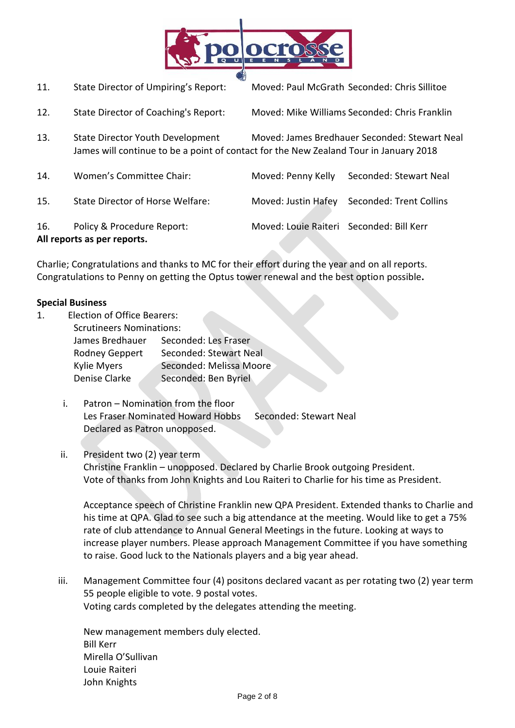

11. State Director of Umpiring's Report: Moved: Paul McGrath Seconded: Chris Sillitoe

- 12. State Director of Coaching's Report: Moved: Mike Williams Seconded: Chris Franklin
- 13. State Director Youth Development Moved: James Bredhauer Seconded: Stewart Neal James will continue to be a point of contact for the New Zealand Tour in January 2018
- 14. Women's Committee Chair: Moved: Penny Kelly Seconded: Stewart Neal 15. State Director of Horse Welfare: Moved: Justin Hafey Seconded: Trent Collins 16. Policy & Procedure Report: Moved: Louie Raiteri Seconded: Bill Kerr **All reports as per reports.**

Charlie; Congratulations and thanks to MC for their effort during the year and on all reports. Congratulations to Penny on getting the Optus tower renewal and the best option possible**.** 

#### **Special Business**

- 1. Election of Office Bearers: Scrutineers Nominations: James Bredhauer Seconded: Les Fraser Rodney Geppert Seconded: Stewart Neal Kylie Myers Seconded: Melissa Moore Denise Clarke Seconded: Ben Byriel
	- i. Patron Nomination from the floor Les Fraser Nominated Howard Hobbs Seconded: Stewart Neal Declared as Patron unopposed.

# ii. President two (2) year term

Christine Franklin – unopposed. Declared by Charlie Brook outgoing President. Vote of thanks from John Knights and Lou Raiteri to Charlie for his time as President.

Acceptance speech of Christine Franklin new QPA President. Extended thanks to Charlie and his time at QPA. Glad to see such a big attendance at the meeting. Would like to get a 75% rate of club attendance to Annual General Meetings in the future. Looking at ways to increase player numbers. Please approach Management Committee if you have something to raise. Good luck to the Nationals players and a big year ahead.

iii. Management Committee four (4) positons declared vacant as per rotating two (2) year term 55 people eligible to vote. 9 postal votes. Voting cards completed by the delegates attending the meeting.

New management members duly elected. Bill Kerr Mirella O'Sullivan Louie Raiteri John Knights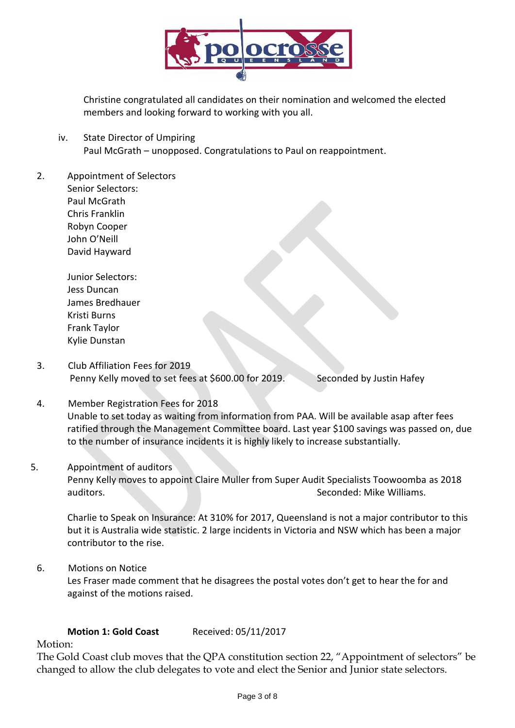

Christine congratulated all candidates on their nomination and welcomed the elected members and looking forward to working with you all.

- iv. State Director of Umpiring Paul McGrath – unopposed. Congratulations to Paul on reappointment.
- 2. Appointment of Selectors Senior Selectors: Paul McGrath Chris Franklin Robyn Cooper John O'Neill

David Hayward

Junior Selectors: Jess Duncan James Bredhauer Kristi Burns Frank Taylor Kylie Dunstan

- 3. Club Affiliation Fees for 2019 Penny Kelly moved to set fees at \$600.00 for 2019. Seconded by Justin Hafey
- 4. Member Registration Fees for 2018 Unable to set today as waiting from information from PAA. Will be available asap after fees ratified through the Management Committee board. Last year \$100 savings was passed on, due to the number of insurance incidents it is highly likely to increase substantially.

#### 5. Appointment of auditors

Penny Kelly moves to appoint Claire Muller from Super Audit Specialists Toowoomba as 2018 auditors. Seconded: Mike Williams.

Charlie to Speak on Insurance: At 310% for 2017, Queensland is not a major contributor to this but it is Australia wide statistic. 2 large incidents in Victoria and NSW which has been a major contributor to the rise.

6. Motions on Notice

Les Fraser made comment that he disagrees the postal votes don't get to hear the for and against of the motions raised.

# **Motion 1: Gold Coast** Received: 05/11/2017

Motion:

The Gold Coast club moves that the QPA constitution section 22, "Appointment of selectors" be changed to allow the club delegates to vote and elect the Senior and Junior state selectors.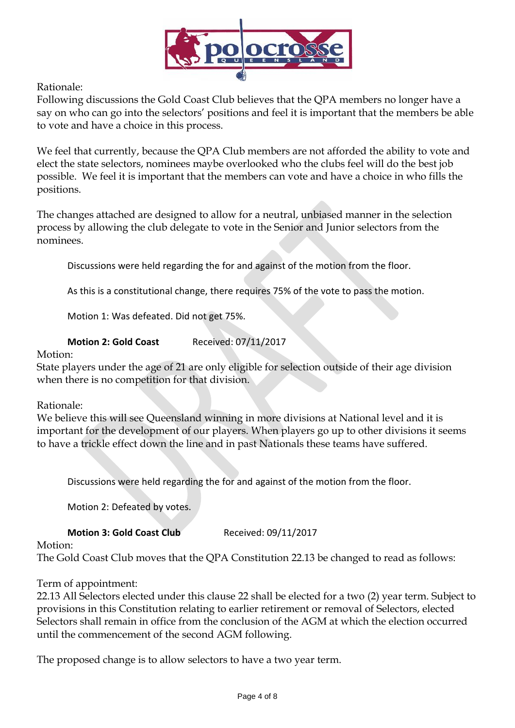

Rationale:

Following discussions the Gold Coast Club believes that the QPA members no longer have a say on who can go into the selectors' positions and feel it is important that the members be able to vote and have a choice in this process.

We feel that currently, because the QPA Club members are not afforded the ability to vote and elect the state selectors, nominees maybe overlooked who the clubs feel will do the best job possible. We feel it is important that the members can vote and have a choice in who fills the positions.

The changes attached are designed to allow for a neutral, unbiased manner in the selection process by allowing the club delegate to vote in the Senior and Junior selectors from the nominees.

Discussions were held regarding the for and against of the motion from the floor.

As this is a constitutional change, there requires 75% of the vote to pass the motion.

Motion 1: Was defeated. Did not get 75%.

#### **Motion 2: Gold Coast** Received: 07/11/2017

Motion:

State players under the age of 21 are only eligible for selection outside of their age division when there is no competition for that division.

Rationale:

We believe this will see Queensland winning in more divisions at National level and it is important for the development of our players. When players go up to other divisions it seems to have a trickle effect down the line and in past Nationals these teams have suffered.

Discussions were held regarding the for and against of the motion from the floor.

Motion 2: Defeated by votes.

# **Motion 3: Gold Coast Club** Received: 09/11/2017

Motion:

The Gold Coast Club moves that the QPA Constitution 22.13 be changed to read as follows:

# Term of appointment:

22.13 All Selectors elected under this clause 22 shall be elected for a two (2) year term. Subject to provisions in this Constitution relating to earlier retirement or removal of Selectors, elected Selectors shall remain in office from the conclusion of the AGM at which the election occurred until the commencement of the second AGM following.

The proposed change is to allow selectors to have a two year term.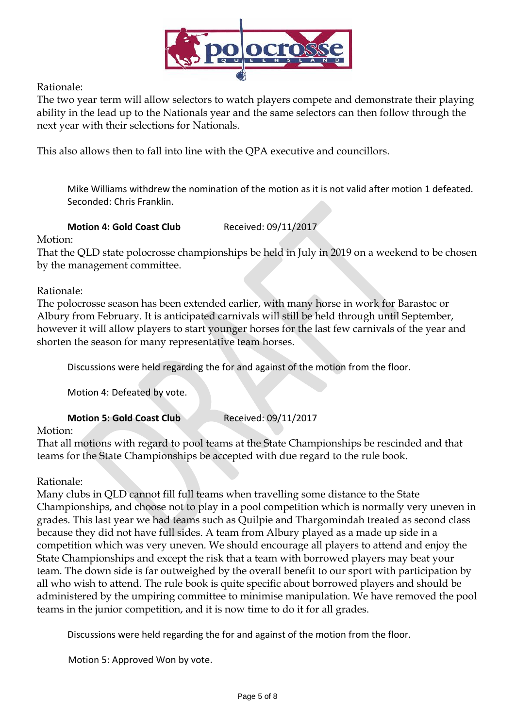

Rationale:

The two year term will allow selectors to watch players compete and demonstrate their playing ability in the lead up to the Nationals year and the same selectors can then follow through the next year with their selections for Nationals.

This also allows then to fall into line with the QPA executive and councillors.

Mike Williams withdrew the nomination of the motion as it is not valid after motion 1 defeated. Seconded: Chris Franklin.

# **Motion 4: Gold Coast Club** Received: 09/11/2017

Motion:

That the QLD state polocrosse championships be held in July in 2019 on a weekend to be chosen by the management committee.

# Rationale:

The polocrosse season has been extended earlier, with many horse in work for Barastoc or Albury from February. It is anticipated carnivals will still be held through until September, however it will allow players to start younger horses for the last few carnivals of the year and shorten the season for many representative team horses.

Discussions were held regarding the for and against of the motion from the floor.

Motion 4: Defeated by vote.

**Motion 5: Gold Coast Club** Received: 09/11/2017

# Motion:

That all motions with regard to pool teams at the State Championships be rescinded and that teams for the State Championships be accepted with due regard to the rule book.

# Rationale:

Many clubs in QLD cannot fill full teams when travelling some distance to the State Championships, and choose not to play in a pool competition which is normally very uneven in grades. This last year we had teams such as Quilpie and Thargomindah treated as second class because they did not have full sides. A team from Albury played as a made up side in a competition which was very uneven. We should encourage all players to attend and enjoy the State Championships and except the risk that a team with borrowed players may beat your team. The down side is far outweighed by the overall benefit to our sport with participation by all who wish to attend. The rule book is quite specific about borrowed players and should be administered by the umpiring committee to minimise manipulation. We have removed the pool teams in the junior competition, and it is now time to do it for all grades.

Discussions were held regarding the for and against of the motion from the floor.

Motion 5: Approved Won by vote.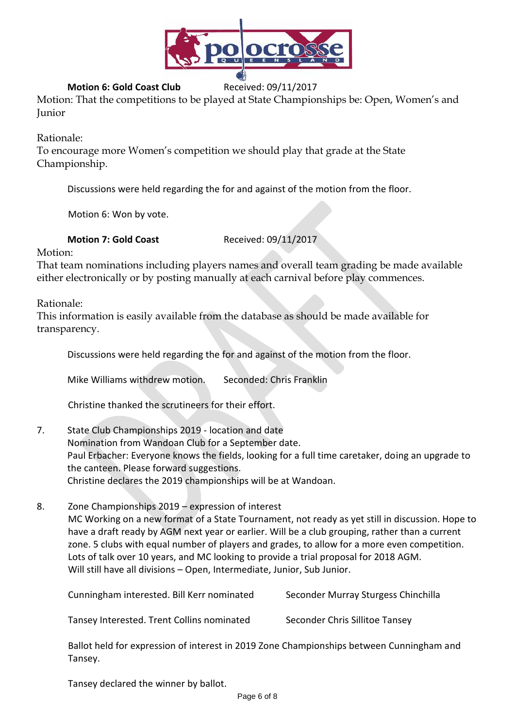

# **Motion 6: Gold Coast Club** Received: 09/11/2017

Motion: That the competitions to be played at State Championships be: Open, Women's and Junior

Rationale:

To encourage more Women's competition we should play that grade at the State Championship.

Discussions were held regarding the for and against of the motion from the floor.

Motion 6: Won by vote.

#### **Motion 7: Gold Coast** Received: 09/11/2017

Motion:

That team nominations including players names and overall team grading be made available either electronically or by posting manually at each carnival before play commences.

Rationale:

This information is easily available from the database as should be made available for transparency.

Discussions were held regarding the for and against of the motion from the floor.

Mike Williams withdrew motion. Seconded: Chris Franklin

Christine thanked the scrutineers for their effort.

- 7. State Club Championships 2019 location and date Nomination from Wandoan Club for a September date. Paul Erbacher: Everyone knows the fields, looking for a full time caretaker, doing an upgrade to the canteen. Please forward suggestions. Christine declares the 2019 championships will be at Wandoan.
- 8. Zone Championships 2019 expression of interest MC Working on a new format of a State Tournament, not ready as yet still in discussion. Hope to have a draft ready by AGM next year or earlier. Will be a club grouping, rather than a current zone. 5 clubs with equal number of players and grades, to allow for a more even competition. Lots of talk over 10 years, and MC looking to provide a trial proposal for 2018 AGM. Will still have all divisions – Open, Intermediate, Junior, Sub Junior.

| Cunningham interested. Bill Kerr nominated                                                          | Seconder Murray Sturgess Chinchilla |
|-----------------------------------------------------------------------------------------------------|-------------------------------------|
| Tansey Interested. Trent Collins nominated                                                          | Seconder Chris Sillitoe Tansey      |
| Ballot held for expression of interest in 2019 Zone Championships between Cunningham and<br>Tansey. |                                     |

Tansey declared the winner by ballot.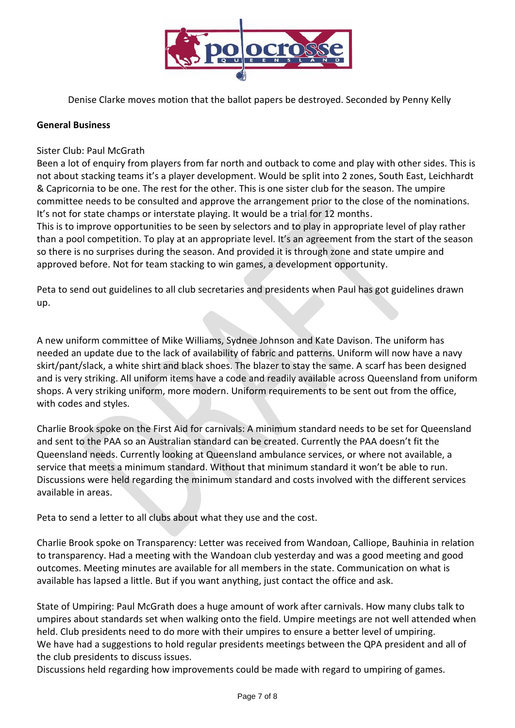

Denise Clarke moves motion that the ballot papers be destroyed. Seconded by Penny Kelly

#### **General Business**

Sister Club: Paul McGrath

Been a lot of enquiry from players from far north and outback to come and play with other sides. This is not about stacking teams it's a player development. Would be split into 2 zones, South East, Leichhardt & Capricornia to be one. The rest for the other. This is one sister club for the season. The umpire committee needs to be consulted and approve the arrangement prior to the close of the nominations. It's not for state champs or interstate playing. It would be a trial for 12 months.

This is to improve opportunities to be seen by selectors and to play in appropriate level of play rather than a pool competition. To play at an appropriate level. It's an agreement from the start of the season so there is no surprises during the season. And provided it is through zone and state umpire and approved before. Not for team stacking to win games, a development opportunity.

Peta to send out guidelines to all club secretaries and presidents when Paul has got guidelines drawn up.

A new uniform committee of Mike Williams, Sydnee Johnson and Kate Davison. The uniform has needed an update due to the lack of availability of fabric and patterns. Uniform will now have a navy skirt/pant/slack, a white shirt and black shoes. The blazer to stay the same. A scarf has been designed and is very striking. All uniform items have a code and readily available across Queensland from uniform shops. A very striking uniform, more modern. Uniform requirements to be sent out from the office, with codes and styles.

Charlie Brook spoke on the First Aid for carnivals: A minimum standard needs to be set for Queensland and sent to the PAA so an Australian standard can be created. Currently the PAA doesn't fit the Queensland needs. Currently looking at Queensland ambulance services, or where not available, a service that meets a minimum standard. Without that minimum standard it won't be able to run. Discussions were held regarding the minimum standard and costs involved with the different services available in areas.

Peta to send a letter to all clubs about what they use and the cost.

Charlie Brook spoke on Transparency: Letter was received from Wandoan, Calliope, Bauhinia in relation to transparency. Had a meeting with the Wandoan club yesterday and was a good meeting and good outcomes. Meeting minutes are available for all members in the state. Communication on what is available has lapsed a little. But if you want anything, just contact the office and ask.

State of Umpiring: Paul McGrath does a huge amount of work after carnivals. How many clubs talk to umpires about standards set when walking onto the field. Umpire meetings are not well attended when held. Club presidents need to do more with their umpires to ensure a better level of umpiring. We have had a suggestions to hold regular presidents meetings between the QPA president and all of the club presidents to discuss issues.

Discussions held regarding how improvements could be made with regard to umpiring of games.